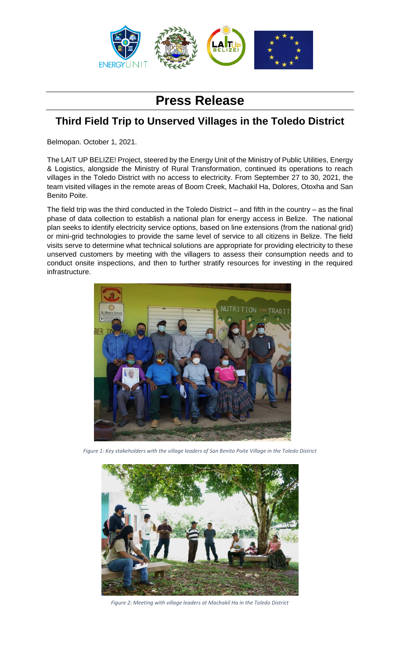

## **Press Release**

## **Third Field Trip to Unserved Villages in the Toledo District**

Belmopan. October 1, 2021.

The LAIT UP BELIZE! Project, steered by the Energy Unit of the Ministry of Public Utilities, Energy & Logistics, alongside the Ministry of Rural Transformation, continued its operations to reach villages in the Toledo District with no access to electricity. From September 27 to 30, 2021, the team visited villages in the remote areas of Boom Creek, Machakil Ha, Dolores, Otoxha and San Benito Poite.

The field trip was the third conducted in the Toledo District – and fifth in the country – as the final phase of data collection to establish a national plan for energy access in Belize. The national plan seeks to identify electricity service options, based on line extensions (from the national grid) or mini-grid technologies to provide the same level of service to all citizens in Belize. The field visits serve to determine what technical solutions are appropriate for providing electricity to these unserved customers by meeting with the villagers to assess their consumption needs and to conduct onsite inspections, and then to further stratify resources for investing in the required infrastructure.



*Figure 1: Key stakeholders with the village leaders of San Benito Poite Village in the Toledo District*



*Figure 2: Meeting with village leaders at Machakil Ha in the Toledo District*